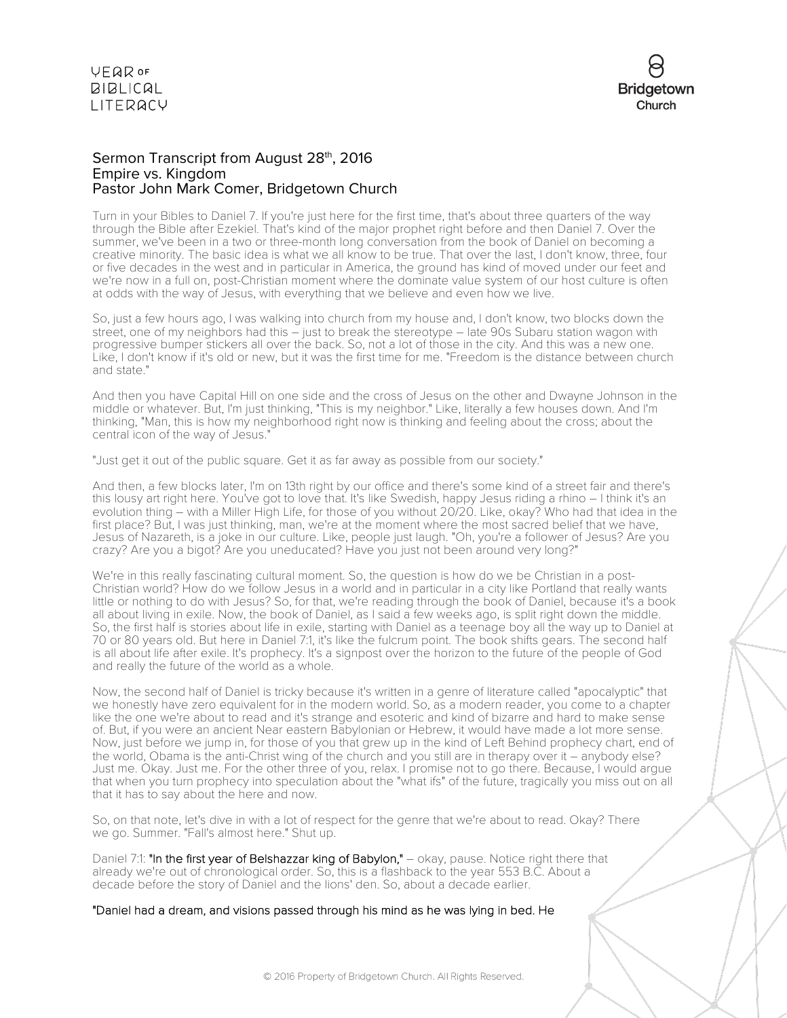

### Sermon Transcript from August 28<sup>th</sup>, 2016 Empire vs. Kingdom Pastor John Mark Comer, Bridgetown Church

Turn in your Bibles to Daniel 7. If you're just here for the first time, that's about three quarters of the way through the Bible after Ezekiel. That's kind of the major prophet right before and then Daniel 7. Over the summer, we've been in a two or three-month long conversation from the book of Daniel on becoming a creative minority. The basic idea is what we all know to be true. That over the last, I don't know, three, four or five decades in the west and in particular in America, the ground has kind of moved under our feet and we're now in a full on, post-Christian moment where the dominate value system of our host culture is often at odds with the way of Jesus, with everything that we believe and even how we live.

So, just a few hours ago, I was walking into church from my house and, I don't know, two blocks down the street, one of my neighbors had this - just to break the stereotype - late 90s Subaru station wagon with progressive bumper stickers all over the back. So, not a lot of those in the city. And this was a new one. Like, I don't know if it's old or new, but it was the first time for me. "Freedom is the distance between church and state."

And then you have Capital Hill on one side and the cross of Jesus on the other and Dwayne Johnson in the middle or whatever. But, I'm just thinking, "This is my neighbor." Like, literally a few houses down. And I'm thinking, "Man, this is how my neighborhood right now is thinking and feeling about the cross; about the central icon of the way of Jesus."

"Just get it out of the public square. Get it as far away as possible from our society."

And then, a few blocks later, I'm on 13th right by our office and there's some kind of a street fair and there's this lousy art right here. You've got to love that. It's like Swedish, happy Jesus riding a rhino – I think it's an evolution thing – with a Miller High Life, for those of you without 20/20. Like, okay? Who had that idea in the first place? But, I was just thinking, man, we're at the moment where the most sacred belief that we have, Jesus of Nazareth, is a joke in our culture. Like, people just laugh. "Oh, you're a follower of Jesus? Are you crazy? Are you a bigot? Are you uneducated? Have you just not been around very long?"

We're in this really fascinating cultural moment. So, the question is how do we be Christian in a post-Christian world? How do we follow Jesus in a world and in particular in a city like Portland that really wants little or nothing to do with Jesus? So, for that, we're reading through the book of Daniel, because it's a book all about living in exile. Now, the book of Daniel, as I said a few weeks ago, is split right down the middle. So, the first half is stories about life in exile, starting with Daniel as a teenage boy all the way up to Daniel at 70 or 80 years old. But here in Daniel 7:1, it's like the fulcrum point. The book shifts gears. The second half is all about life after exile. It's prophecy. It's a signpost over the horizon to the future of the people of God and really the future of the world as a whole.

Now, the second half of Daniel is tricky because it's written in a genre of literature called "apocalyptic" that we honestly have zero equivalent for in the modern world. So, as a modern reader, you come to a chapter like the one we're about to read and it's strange and esoteric and kind of bizarre and hard to make sense of. But, if you were an ancient Near eastern Babylonian or Hebrew, it would have made a lot more sense. Now, just before we jump in, for those of you that grew up in the kind of Left Behind prophecy chart, end of the world, Obama is the anti-Christ wing of the church and you still are in therapy over it – anybody else? Just me. Okay. Just me. For the other three of you, relax. I promise not to go there. Because, I would argue that when you turn prophecy into speculation about the "what ifs" of the future, tragically you miss out on all that it has to say about the here and now.

So, on that note, let's dive in with a lot of respect for the genre that we're about to read. Okay? There we go. Summer. "Fall's almost here." Shut up.

Daniel 7:1: "In the first year of Belshazzar king of Babylon," – okay, pause. Notice right there that already we're out of chronological order. So, this is a flashback to the year 553 B.C. About a decade before the story of Daniel and the lions' den. So, about a decade earlier.

"Daniel had a dream, and visions passed through his mind as he was lying in bed. He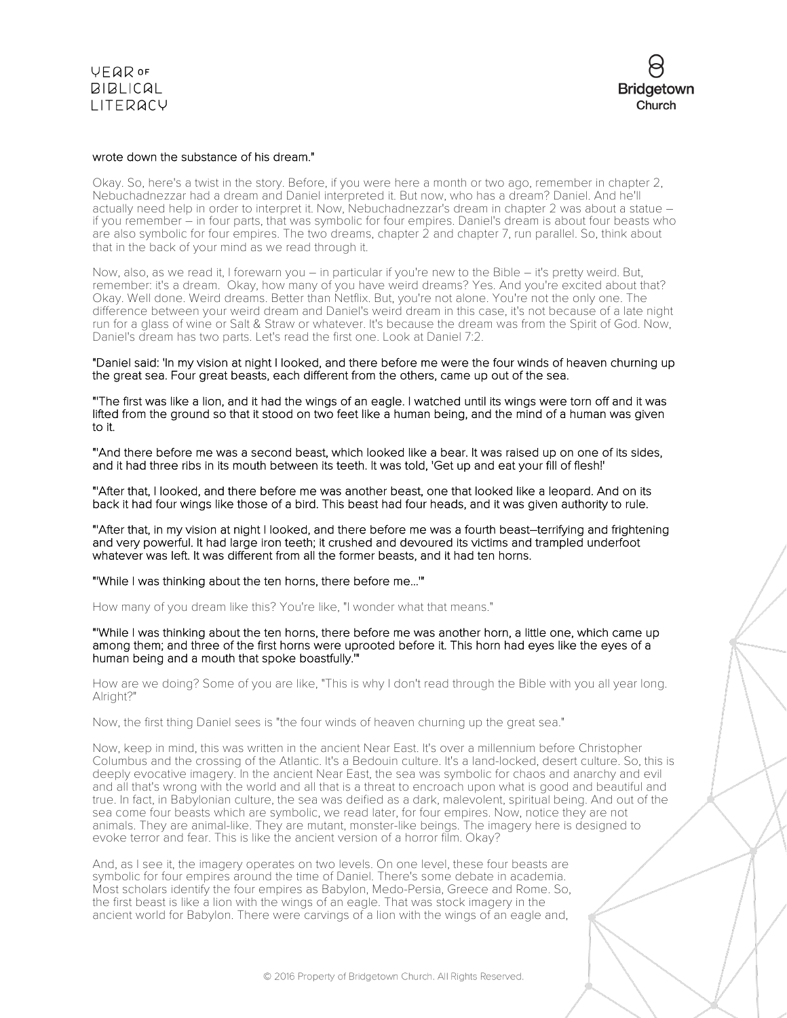**VFQR OF BIBLICAL** LITERACY

### wrote down the substance of his dream."

Okay. So, here's a twist in the story. Before, if you were here a month or two ago, remember in chapter 2, Nebuchadnezzar had a dream and Daniel interpreted it. But now, who has a dream? Daniel. And he'll actually need help in order to interpret it. Now, Nebuchadnezzar's dream in chapter 2 was about a statue – if you remember – in four parts, that was symbolic for four empires. Daniel's dream is about four beasts who are also symbolic for four empires. The two dreams, chapter 2 and chapter 7, run parallel. So, think about that in the back of your mind as we read through it.

Now, also, as we read it, I forewarn you – in particular if you're new to the Bible – it's pretty weird. But, remember: it's a dream. Okay, how many of you have weird dreams? Yes. And you're excited about that? Okay. Well done. Weird dreams. Better than Netflix. But, you're not alone. You're not the only one. The difference between your weird dream and Daniel's weird dream in this case, it's not because of a late night run for a glass of wine or Salt & Straw or whatever. It's because the dream was from the Spirit of God. Now, Daniel's dream has two parts. Let's read the first one. Look at Daniel 7:2.

"Daniel said: 'In my vision at night I looked, and there before me were the four winds of heaven churning up the great sea. Four great beasts, each different from the others, came up out of the sea.

"'The first was like a lion, and it had the wings of an eagle. I watched until its wings were torn off and it was lifted from the ground so that it stood on two feet like a human being, and the mind of a human was given to it.

"'And there before me was a second beast, which looked like a bear. It was raised up on one of its sides, and it had three ribs in its mouth between its teeth. It was told, 'Get up and eat your fill of flesh!'

"'After that, I looked, and there before me was another beast, one that looked like a leopard. And on its back it had four wings like those of a bird. This beast had four heads, and it was given authority to rule.

"'After that, in my vision at night I looked, and there before me was a fourth beast–terrifying and frightening and very powerful. It had large iron teeth; it crushed and devoured its victims and trampled underfoot whatever was left. It was different from all the former beasts, and it had ten horns.

"'While I was thinking about the ten horns, there before me...'"

How many of you dream like this? You're like, "I wonder what that means."

"'While I was thinking about the ten horns, there before me was another horn, a little one, which came up among them; and three of the first horns were uprooted before it. This horn had eyes like the eyes of a human being and a mouth that spoke boastfully.'"

How are we doing? Some of you are like, "This is why I don't read through the Bible with you all year long. Alright?"

Now, the first thing Daniel sees is "the four winds of heaven churning up the great sea."

Now, keep in mind, this was written in the ancient Near East. It's over a millennium before Christopher Columbus and the crossing of the Atlantic. It's a Bedouin culture. It's a land-locked, desert culture. So, this is deeply evocative imagery. In the ancient Near East, the sea was symbolic for chaos and anarchy and evil and all that's wrong with the world and all that is a threat to encroach upon what is good and beautiful and true. In fact, in Babylonian culture, the sea was deified as a dark, malevolent, spiritual being. And out of the sea come four beasts which are symbolic, we read later, for four empires. Now, notice they are not animals. They are animal-like. They are mutant, monster-like beings. The imagery here is designed to evoke terror and fear. This is like the ancient version of a horror film. Okay?

And, as I see it, the imagery operates on two levels. On one level, these four beasts are symbolic for four empires around the time of Daniel. There's some debate in academia. Most scholars identify the four empires as Babylon, Medo-Persia, Greece and Rome. So, the first beast is like a lion with the wings of an eagle. That was stock imagery in the ancient world for Babylon. There were carvings of a lion with the wings of an eagle and,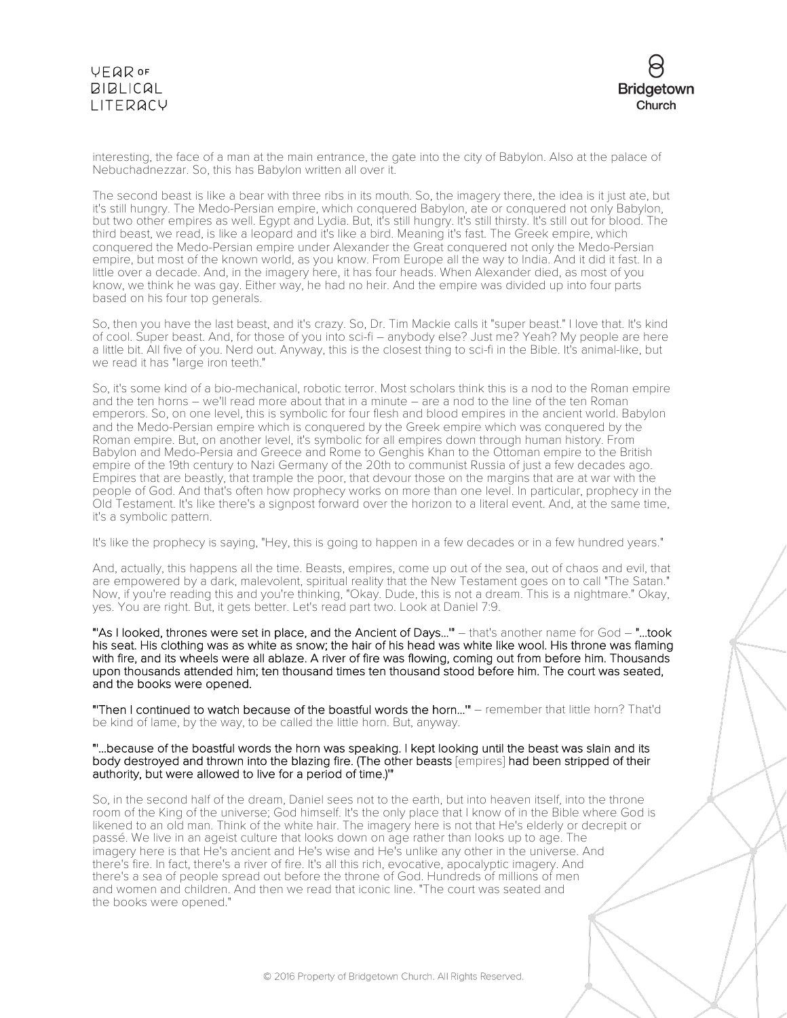

interesting, the face of a man at the main entrance, the gate into the city of Babylon. Also at the palace of Nebuchadnezzar. So, this has Babylon written all over it.

The second beast is like a bear with three ribs in its mouth. So, the imagery there, the idea is it just ate, but it's still hungry. The Medo-Persian empire, which conquered Babylon, ate or conquered not only Babylon, but two other empires as well. Egypt and Lydia. But, it's still hungry. It's still thirsty. It's still out for blood. The third beast, we read, is like a leopard and it's like a bird. Meaning it's fast. The Greek empire, which conquered the Medo-Persian empire under Alexander the Great conquered not only the Medo-Persian empire, but most of the known world, as you know. From Europe all the way to India. And it did it fast. In a little over a decade. And, in the imagery here, it has four heads. When Alexander died, as most of you know, we think he was gay. Either way, he had no heir. And the empire was divided up into four parts based on his four top generals.

So, then you have the last beast, and it's crazy. So, Dr. Tim Mackie calls it "super beast." I love that. It's kind of cool. Super beast. And, for those of you into sci-fi – anybody else? Just me? Yeah? My people are here a little bit. All five of you. Nerd out. Anyway, this is the closest thing to sci-fi in the Bible. It's animal-like, but we read it has "large iron teeth."

So, it's some kind of a bio-mechanical, robotic terror. Most scholars think this is a nod to the Roman empire and the ten horns – we'll read more about that in a minute – are a nod to the line of the ten Roman emperors. So, on one level, this is symbolic for four flesh and blood empires in the ancient world. Babylon and the Medo-Persian empire which is conquered by the Greek empire which was conquered by the Roman empire. But, on another level, it's symbolic for all empires down through human history. From Babylon and Medo-Persia and Greece and Rome to Genghis Khan to the Ottoman empire to the British empire of the 19th century to Nazi Germany of the 20th to communist Russia of just a few decades ago. Empires that are beastly, that trample the poor, that devour those on the margins that are at war with the people of God. And that's often how prophecy works on more than one level. In particular, prophecy in the Old Testament. It's like there's a signpost forward over the horizon to a literal event. And, at the same time, it's a symbolic pattern.

It's like the prophecy is saying, "Hey, this is going to happen in a few decades or in a few hundred years."

And, actually, this happens all the time. Beasts, empires, come up out of the sea, out of chaos and evil, that are empowered by a dark, malevolent, spiritual reality that the New Testament goes on to call "The Satan." Now, if you're reading this and you're thinking, "Okay. Dude, this is not a dream. This is a nightmare." Okay, yes. You are right. But, it gets better. Let's read part two. Look at Daniel 7:9.

"'As I looked, thrones were set in place, and the Ancient of Days...'" – that's another name for God – "...took his seat. His clothing was as white as snow; the hair of his head was white like wool. His throne was flaming with fire, and its wheels were all ablaze. A river of fire was flowing, coming out from before him. Thousands upon thousands attended him; ten thousand times ten thousand stood before him. The court was seated, and the books were opened.

"'Then I continued to watch because of the boastful words the horn...'" – remember that little horn? That'd be kind of lame, by the way, to be called the little horn. But, anyway.

### "'...because of the boastful words the horn was speaking. I kept looking until the beast was slain and its body destroyed and thrown into the blazing fire. (The other beasts [empires] had been stripped of their authority, but were allowed to live for a period of time.)'"

So, in the second half of the dream, Daniel sees not to the earth, but into heaven itself, into the throne room of the King of the universe; God himself. It's the only place that I know of in the Bible where God is likened to an old man. Think of the white hair. The imagery here is not that He's elderly or decrepit or passé. We live in an ageist culture that looks down on age rather than looks up to age. The imagery here is that He's ancient and He's wise and He's unlike any other in the universe. And there's fire. In fact, there's a river of fire. It's all this rich, evocative, apocalyptic imagery. And there's a sea of people spread out before the throne of God. Hundreds of millions of men and women and children. And then we read that iconic line. "The court was seated and the books were opened."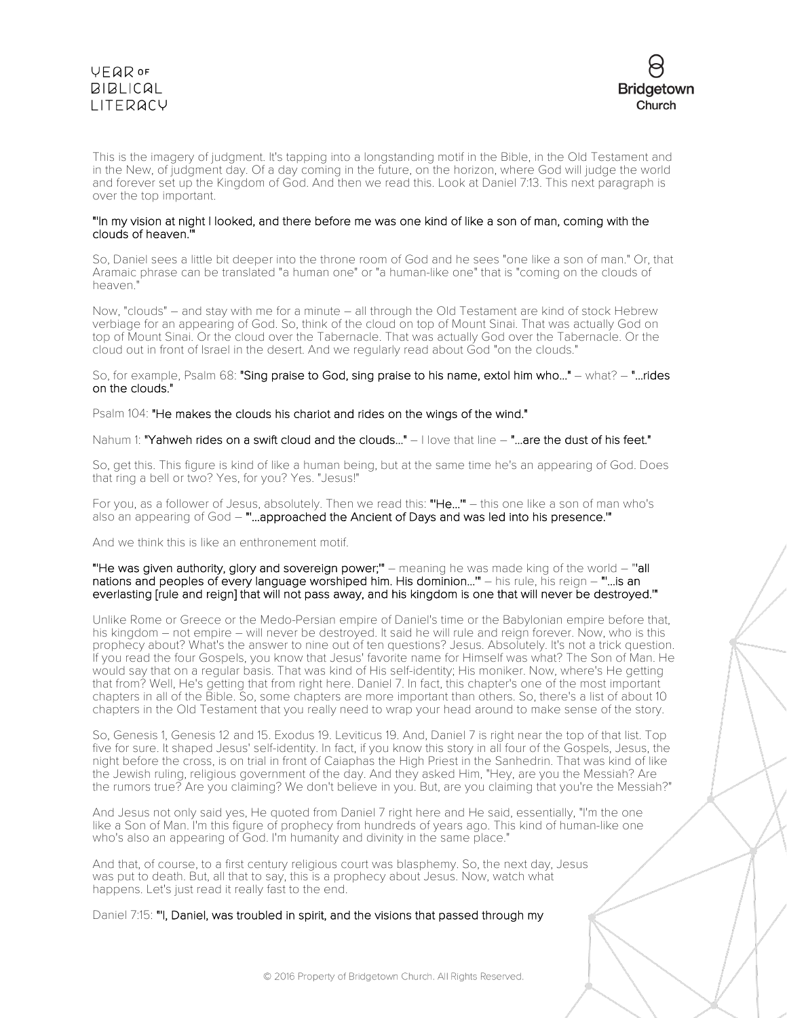



This is the imagery of judgment. It's tapping into a longstanding motif in the Bible, in the Old Testament and in the New, of judgment day. Of a day coming in the future, on the horizon, where God will judge the world and forever set up the Kingdom of God. And then we read this. Look at Daniel 7:13. This next paragraph is over the top important.

### "'In my vision at night I looked, and there before me was one kind of like a son of man, coming with the clouds of heaven.'"

So, Daniel sees a little bit deeper into the throne room of God and he sees "one like a son of man." Or, that Aramaic phrase can be translated "a human one" or "a human-like one" that is "coming on the clouds of heaven."

Now, "clouds" – and stay with me for a minute – all through the Old Testament are kind of stock Hebrew verbiage for an appearing of God. So, think of the cloud on top of Mount Sinai. That was actually God on top of Mount Sinai. Or the cloud over the Tabernacle. That was actually God over the Tabernacle. Or the cloud out in front of Israel in the desert. And we regularly read about God "on the clouds."

So, for example, Psalm 68: "Sing praise to God, sing praise to his name, extol him who..." – what? – "...rides on the clouds."

Psalm 104: "He makes the clouds his chariot and rides on the wings of the wind."

Nahum 1: "Yahweh rides on a swift cloud and the clouds..." – I love that line – "...are the dust of his feet."

So, get this. This figure is kind of like a human being, but at the same time he's an appearing of God. Does that ring a bell or two? Yes, for you? Yes. "Jesus!"

For you, as a follower of Jesus, absolutely. Then we read this: "He..." - this one like a son of man who's also an appearing of God – ""...approached the Ancient of Days and was led into his presence."

And we think this is like an enthronement motif.

"He was given authority, glory and sovereign power;" – meaning he was made king of the world - "'all nations and peoples of every language worshiped him. His dominion...'" – his rule, his reign – "'...is an everlasting [rule and reign] that will not pass away, and his kingdom is one that will never be destroyed.'"

Unlike Rome or Greece or the Medo-Persian empire of Daniel's time or the Babylonian empire before that, his kingdom – not empire – will never be destroyed. It said he will rule and reign forever. Now, who is this prophecy about? What's the answer to nine out of ten questions? Jesus. Absolutely. It's not a trick question. If you read the four Gospels, you know that Jesus' favorite name for Himself was what? The Son of Man. He would say that on a regular basis. That was kind of His self-identity; His moniker. Now, where's He getting that from? Well, He's getting that from right here. Daniel 7. In fact, this chapter's one of the most important chapters in all of the Bible. So, some chapters are more important than others. So, there's a list of about 10 chapters in the Old Testament that you really need to wrap your head around to make sense of the story.

So, Genesis 1, Genesis 12 and 15. Exodus 19. Leviticus 19. And, Daniel 7 is right near the top of that list. Top five for sure. It shaped Jesus' self-identity. In fact, if you know this story in all four of the Gospels, Jesus, the night before the cross, is on trial in front of Caiaphas the High Priest in the Sanhedrin. That was kind of like the Jewish ruling, religious government of the day. And they asked Him, "Hey, are you the Messiah? Are the rumors true? Are you claiming? We don't believe in you. But, are you claiming that you're the Messiah?"

And Jesus not only said yes, He quoted from Daniel 7 right here and He said, essentially, "I'm the one like a Son of Man. I'm this figure of prophecy from hundreds of years ago. This kind of human-like one who's also an appearing of God. I'm humanity and divinity in the same place."

And that, of course, to a first century religious court was blasphemy. So, the next day, Jesus was put to death. But, all that to say, this is a prophecy about Jesus. Now, watch what happens. Let's just read it really fast to the end.

Daniel 7:15: "'I, Daniel, was troubled in spirit, and the visions that passed through my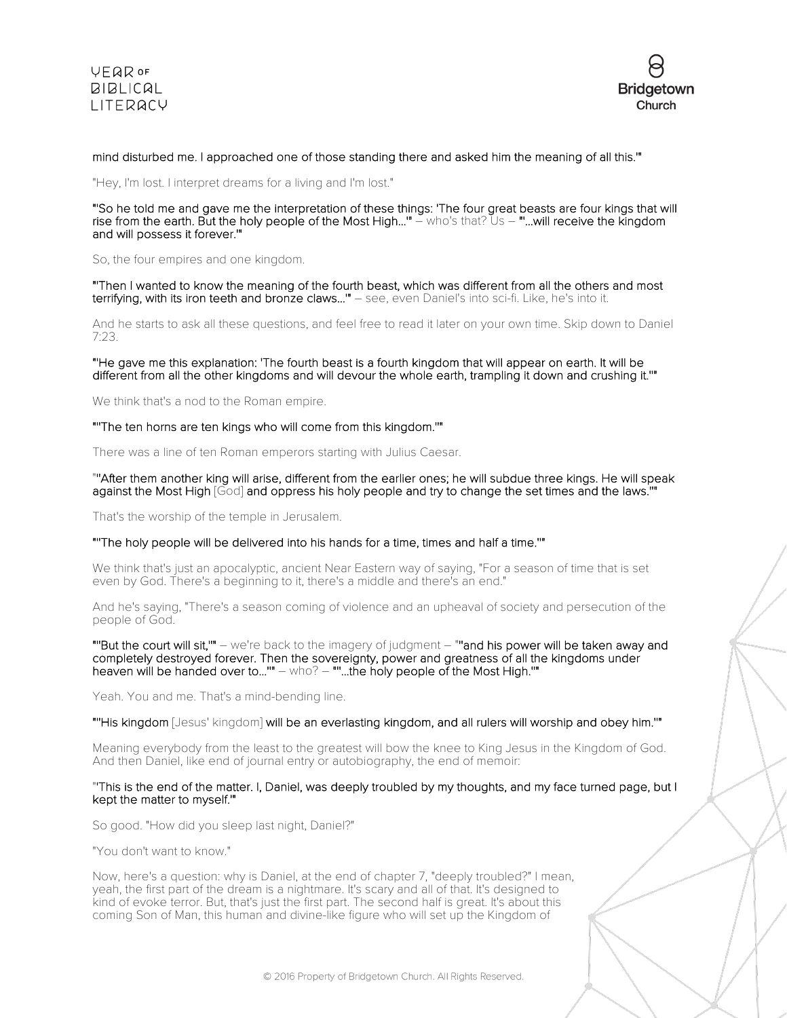



### mind disturbed me. I approached one of those standing there and asked him the meaning of all this.'"

"Hey, I'm lost. I interpret dreams for a living and I'm lost."

"'So he told me and gave me the interpretation of these things: 'The four great beasts are four kings that will rise from the earth. But the holy people of the Most High...'" – who's that? Us – "'...will receive the kingdom and will possess it forever.'"

So, the four empires and one kingdom.

"'Then I wanted to know the meaning of the fourth beast, which was different from all the others and most terrifying, with its iron teeth and bronze claws...'" – see, even Daniel's into sci-fi. Like, he's into it.

And he starts to ask all these questions, and feel free to read it later on your own time. Skip down to Daniel 7:23.

"'He gave me this explanation: 'The fourth beast is a fourth kingdom that will appear on earth. It will be different from all the other kingdoms and will devour the whole earth, trampling it down and crushing it.''"

We think that's a nod to the Roman empire.

"''The ten horns are ten kings who will come from this kingdom.''"

There was a line of ten Roman emperors starting with Julius Caesar.

### "''After them another king will arise, different from the earlier ones; he will subdue three kings. He will speak against the Most High [God] and oppress his holy people and try to change the set times and the laws.'

That's the worship of the temple in Jerusalem.

#### "''The holy people will be delivered into his hands for a time, times and half a time.''"

We think that's just an apocalyptic, ancient Near Eastern way of saying, "For a season of time that is set even by God. There's a beginning to it, there's a middle and there's an end."

And he's saying, "There's a season coming of violence and an upheaval of society and persecution of the people of God.

"''But the court will sit,''" – we're back to the imagery of judgment – "''and his power will be taken away and completely destroyed forever. Then the sovereignty, power and greatness of all the kingdoms under heaven will be handed over to...''" – who? – "''...the holy people of the Most High.''"

Yeah. You and me. That's a mind-bending line.

"''His kingdom [Jesus' kingdom] will be an everlasting kingdom, and all rulers will worship and obey him.''"

Meaning everybody from the least to the greatest will bow the knee to King Jesus in the Kingdom of God. And then Daniel, like end of journal entry or autobiography, the end of memoir:

#### "'This is the end of the matter. I, Daniel, was deeply troubled by my thoughts, and my face turned page, but I kept the matter to myself.'"

So good. "How did you sleep last night, Daniel?"

"You don't want to know."

Now, here's a question: why is Daniel, at the end of chapter 7, "deeply troubled?" I mean, yeah, the first part of the dream is a nightmare. It's scary and all of that. It's designed to kind of evoke terror. But, that's just the first part. The second half is great. It's about this coming Son of Man, this human and divine-like figure who will set up the Kingdom of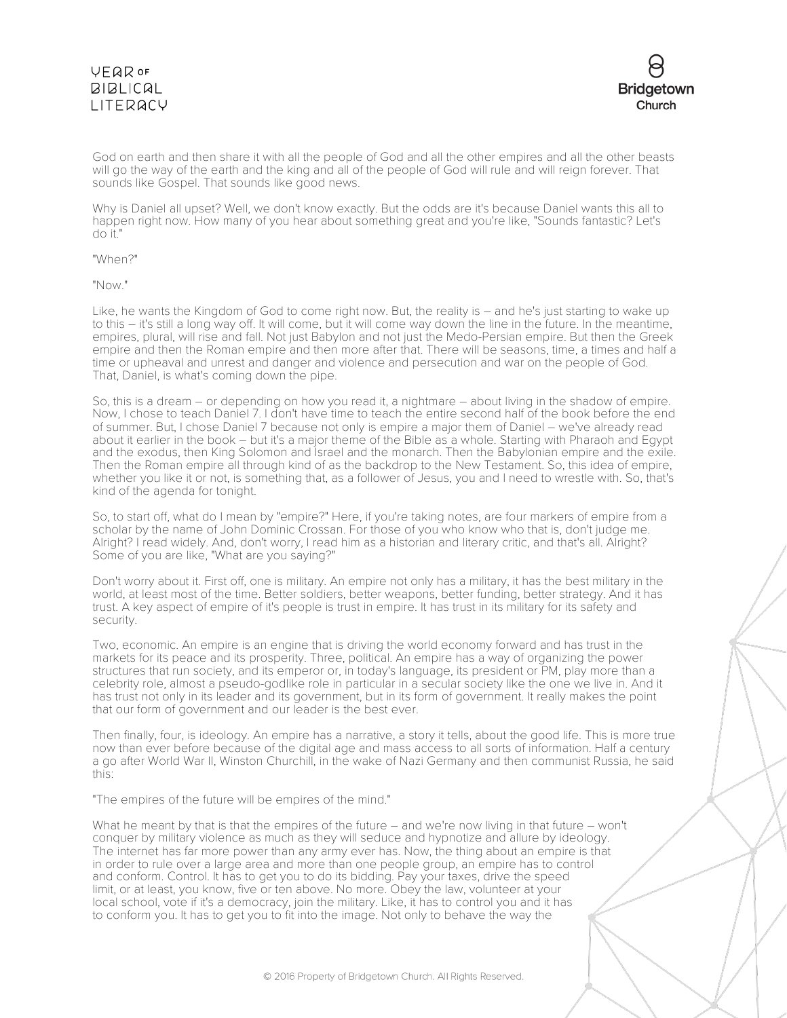### **VFQR OF BIBLICAL** LITERACY



God on earth and then share it with all the people of God and all the other empires and all the other beasts will go the way of the earth and the king and all of the people of God will rule and will reign forever. That sounds like Gospel. That sounds like good news.

Why is Daniel all upset? Well, we don't know exactly. But the odds are it's because Daniel wants this all to happen right now. How many of you hear about something great and you're like, "Sounds fantastic? Let's do it."

"When?"

"Now."

Like, he wants the Kingdom of God to come right now. But, the reality is – and he's just starting to wake up to this – it's still a long way off. It will come, but it will come way down the line in the future. In the meantime, empires, plural, will rise and fall. Not just Babylon and not just the Medo-Persian empire. But then the Greek empire and then the Roman empire and then more after that. There will be seasons, time, a times and half a time or upheaval and unrest and danger and violence and persecution and war on the people of God. That, Daniel, is what's coming down the pipe.

So, this is a dream – or depending on how you read it, a nightmare – about living in the shadow of empire. Now, I chose to teach Daniel 7. I don't have time to teach the entire second half of the book before the end of summer. But, I chose Daniel 7 because not only is empire a major them of Daniel – we've already read about it earlier in the book – but it's a major theme of the Bible as a whole. Starting with Pharaoh and Egypt and the exodus, then King Solomon and Israel and the monarch. Then the Babylonian empire and the exile. Then the Roman empire all through kind of as the backdrop to the New Testament. So, this idea of empire, whether you like it or not, is something that, as a follower of Jesus, you and I need to wrestle with. So, that's kind of the agenda for tonight.

So, to start off, what do I mean by "empire?" Here, if you're taking notes, are four markers of empire from a scholar by the name of John Dominic Crossan. For those of you who know who that is, don't judge me. Alright? I read widely. And, don't worry, I read him as a historian and literary critic, and that's all. Alright? Some of you are like, "What are you saying?"

Don't worry about it. First off, one is military. An empire not only has a military, it has the best military in the world, at least most of the time. Better soldiers, better weapons, better funding, better strategy. And it has trust. A key aspect of empire of it's people is trust in empire. It has trust in its military for its safety and security.

Two, economic. An empire is an engine that is driving the world economy forward and has trust in the markets for its peace and its prosperity. Three, political. An empire has a way of organizing the power structures that run society, and its emperor or, in today's language, its president or PM, play more than a celebrity role, almost a pseudo-godlike role in particular in a secular society like the one we live in. And it has trust not only in its leader and its government, but in its form of government. It really makes the point that our form of government and our leader is the best ever.

Then finally, four, is ideology. An empire has a narrative, a story it tells, about the good life. This is more true now than ever before because of the digital age and mass access to all sorts of information. Half a century a go after World War II, Winston Churchill, in the wake of Nazi Germany and then communist Russia, he said this:

"The empires of the future will be empires of the mind."

What he meant by that is that the empires of the future – and we're now living in that future – won't conquer by military violence as much as they will seduce and hypnotize and allure by ideology. The internet has far more power than any army ever has. Now, the thing about an empire is that in order to rule over a large area and more than one people group, an empire has to control and conform. Control. It has to get you to do its bidding. Pay your taxes, drive the speed limit, or at least, you know, five or ten above. No more. Obey the law, volunteer at your local school, vote if it's a democracy, join the military. Like, it has to control you and it has to conform you. It has to get you to fit into the image. Not only to behave the way the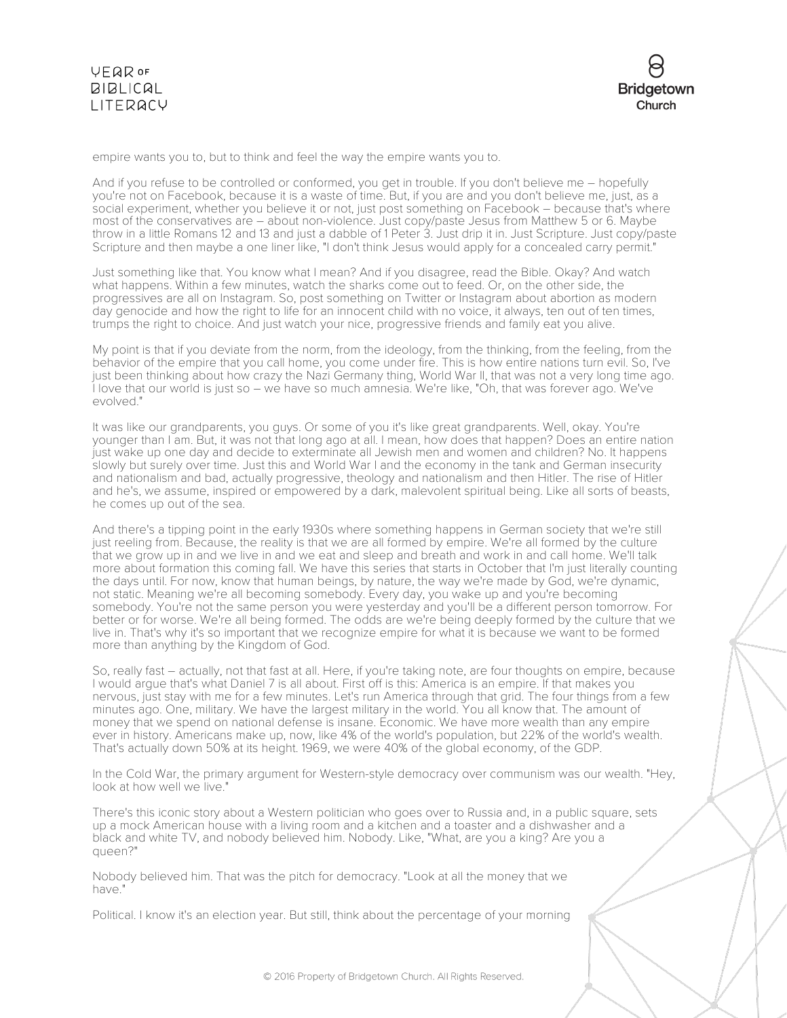

empire wants you to, but to think and feel the way the empire wants you to.

And if you refuse to be controlled or conformed, you get in trouble. If you don't believe me – hopefully you're not on Facebook, because it is a waste of time. But, if you are and you don't believe me, just, as a social experiment, whether you believe it or not, just post something on Facebook – because that's where most of the conservatives are – about non-violence. Just copy/paste Jesus from Matthew 5 or 6. Maybe throw in a little Romans 12 and 13 and just a dabble of 1 Peter 3. Just drip it in. Just Scripture. Just copy/paste Scripture and then maybe a one liner like, "I don't think Jesus would apply for a concealed carry permit."

Just something like that. You know what I mean? And if you disagree, read the Bible. Okay? And watch what happens. Within a few minutes, watch the sharks come out to feed. Or, on the other side, the progressives are all on Instagram. So, post something on Twitter or Instagram about abortion as modern day genocide and how the right to life for an innocent child with no voice, it always, ten out of ten times, trumps the right to choice. And just watch your nice, progressive friends and family eat you alive.

My point is that if you deviate from the norm, from the ideology, from the thinking, from the feeling, from the behavior of the empire that you call home, you come under fire. This is how entire nations turn evil. So, I've just been thinking about how crazy the Nazi Germany thing, World War II, that was not a very long time ago. I love that our world is just so – we have so much amnesia. We're like, "Oh, that was forever ago. We've evolved."

It was like our grandparents, you guys. Or some of you it's like great grandparents. Well, okay. You're younger than I am. But, it was not that long ago at all. I mean, how does that happen? Does an entire nation just wake up one day and decide to exterminate all Jewish men and women and children? No. It happens slowly but surely over time. Just this and World War I and the economy in the tank and German insecurity and nationalism and bad, actually progressive, theology and nationalism and then Hitler. The rise of Hitler and he's, we assume, inspired or empowered by a dark, malevolent spiritual being. Like all sorts of beasts, he comes up out of the sea.

And there's a tipping point in the early 1930s where something happens in German society that we're still just reeling from. Because, the reality is that we are all formed by empire. We're all formed by the culture that we grow up in and we live in and we eat and sleep and breath and work in and call home. We'll talk more about formation this coming fall. We have this series that starts in October that I'm just literally counting the days until. For now, know that human beings, by nature, the way we're made by God, we're dynamic, not static. Meaning we're all becoming somebody. Every day, you wake up and you're becoming somebody. You're not the same person you were yesterday and you'll be a different person tomorrow. For better or for worse. We're all being formed. The odds are we're being deeply formed by the culture that we live in. That's why it's so important that we recognize empire for what it is because we want to be formed more than anything by the Kingdom of God.

So, really fast – actually, not that fast at all. Here, if you're taking note, are four thoughts on empire, because I would argue that's what Daniel 7 is all about. First off is this: America is an empire. If that makes you nervous, just stay with me for a few minutes. Let's run America through that grid. The four things from a few minutes ago. One, military. We have the largest military in the world. You all know that. The amount of money that we spend on national defense is insane. Economic. We have more wealth than any empire ever in history. Americans make up, now, like 4% of the world's population, but 22% of the world's wealth. That's actually down 50% at its height. 1969, we were 40% of the global economy, of the GDP.

In the Cold War, the primary argument for Western-style democracy over communism was our wealth. "Hey, look at how well we live."

There's this iconic story about a Western politician who goes over to Russia and, in a public square, sets up a mock American house with a living room and a kitchen and a toaster and a dishwasher and a black and white TV, and nobody believed him. Nobody. Like, "What, are you a king? Are you a queen?"

Nobody believed him. That was the pitch for democracy. "Look at all the money that we have."

Political. I know it's an election year. But still, think about the percentage of your morning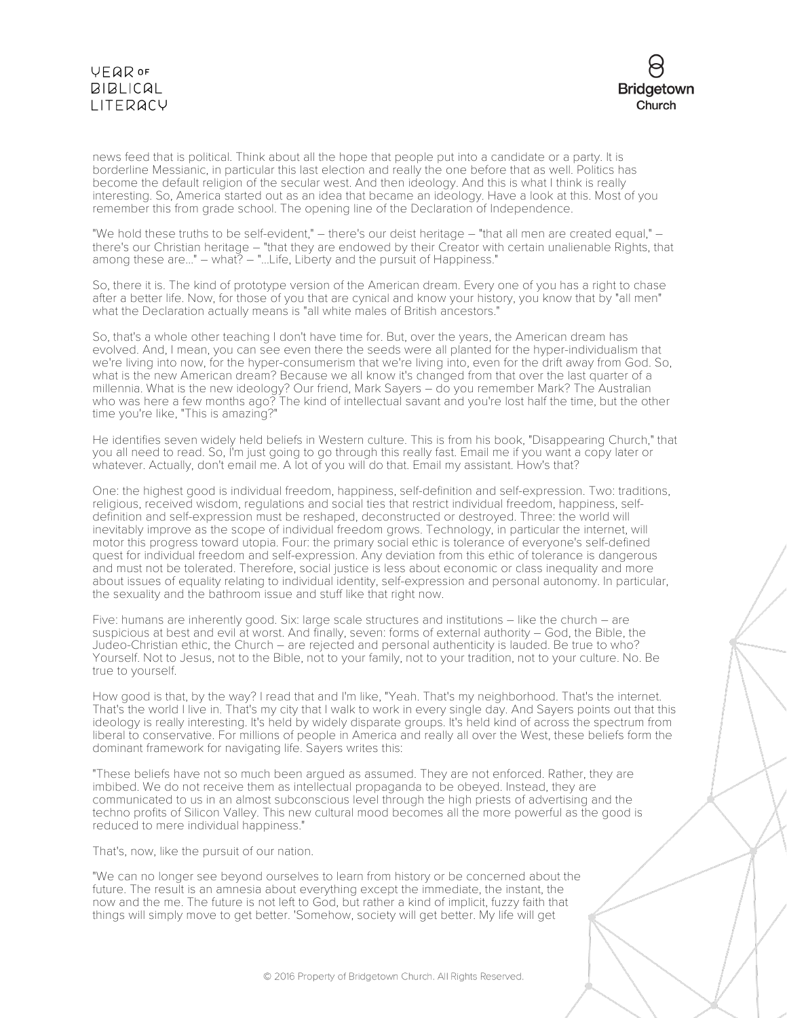## VEQROF **BIBLICAL** LITERACY



news feed that is political. Think about all the hope that people put into a candidate or a party. It is borderline Messianic, in particular this last election and really the one before that as well. Politics has become the default religion of the secular west. And then ideology. And this is what I think is really interesting. So, America started out as an idea that became an ideology. Have a look at this. Most of you remember this from grade school. The opening line of the Declaration of Independence.

"We hold these truths to be self-evident," – there's our deist heritage – "that all men are created equal," – there's our Christian heritage – "that they are endowed by their Creator with certain unalienable Rights, that among these are..." – what? – "...Life, Liberty and the pursuit of Happiness."

So, there it is. The kind of prototype version of the American dream. Every one of you has a right to chase after a better life. Now, for those of you that are cynical and know your history, you know that by "all men" what the Declaration actually means is "all white males of British ancestors."

So, that's a whole other teaching I don't have time for. But, over the years, the American dream has evolved. And, I mean, you can see even there the seeds were all planted for the hyper-individualism that we're living into now, for the hyper-consumerism that we're living into, even for the drift away from God. So, what is the new American dream? Because we all know it's changed from that over the last quarter of a millennia. What is the new ideology? Our friend, Mark Sayers – do you remember Mark? The Australian who was here a few months ago? The kind of intellectual savant and you're lost half the time, but the other time you're like, "This is amazing?"

He identifies seven widely held beliefs in Western culture. This is from his book, "Disappearing Church," that you all need to read. So, I'm just going to go through this really fast. Email me if you want a copy later or whatever. Actually, don't email me. A lot of you will do that. Email my assistant. How's that?

One: the highest good is individual freedom, happiness, self-definition and self-expression. Two: traditions, religious, received wisdom, regulations and social ties that restrict individual freedom, happiness, selfdefinition and self-expression must be reshaped, deconstructed or destroyed. Three: the world will inevitably improve as the scope of individual freedom grows. Technology, in particular the internet, will motor this progress toward utopia. Four: the primary social ethic is tolerance of everyone's self-defined quest for individual freedom and self-expression. Any deviation from this ethic of tolerance is dangerous and must not be tolerated. Therefore, social justice is less about economic or class inequality and more about issues of equality relating to individual identity, self-expression and personal autonomy. In particular, the sexuality and the bathroom issue and stuff like that right now.

Five: humans are inherently good. Six: large scale structures and institutions – like the church – are suspicious at best and evil at worst. And finally, seven: forms of external authority – God, the Bible, the Judeo-Christian ethic, the Church – are rejected and personal authenticity is lauded. Be true to who? Yourself. Not to Jesus, not to the Bible, not to your family, not to your tradition, not to your culture. No. Be true to yourself.

How good is that, by the way? I read that and I'm like, "Yeah. That's my neighborhood. That's the internet. That's the world I live in. That's my city that I walk to work in every single day. And Sayers points out that this ideology is really interesting. It's held by widely disparate groups. It's held kind of across the spectrum from liberal to conservative. For millions of people in America and really all over the West, these beliefs form the dominant framework for navigating life. Sayers writes this:

"These beliefs have not so much been argued as assumed. They are not enforced. Rather, they are imbibed. We do not receive them as intellectual propaganda to be obeyed. Instead, they are communicated to us in an almost subconscious level through the high priests of advertising and the techno profits of Silicon Valley. This new cultural mood becomes all the more powerful as the good is reduced to mere individual happiness."

That's, now, like the pursuit of our nation.

"We can no longer see beyond ourselves to learn from history or be concerned about the future. The result is an amnesia about everything except the immediate, the instant, the now and the me. The future is not left to God, but rather a kind of implicit, fuzzy faith that things will simply move to get better. 'Somehow, society will get better. My life will get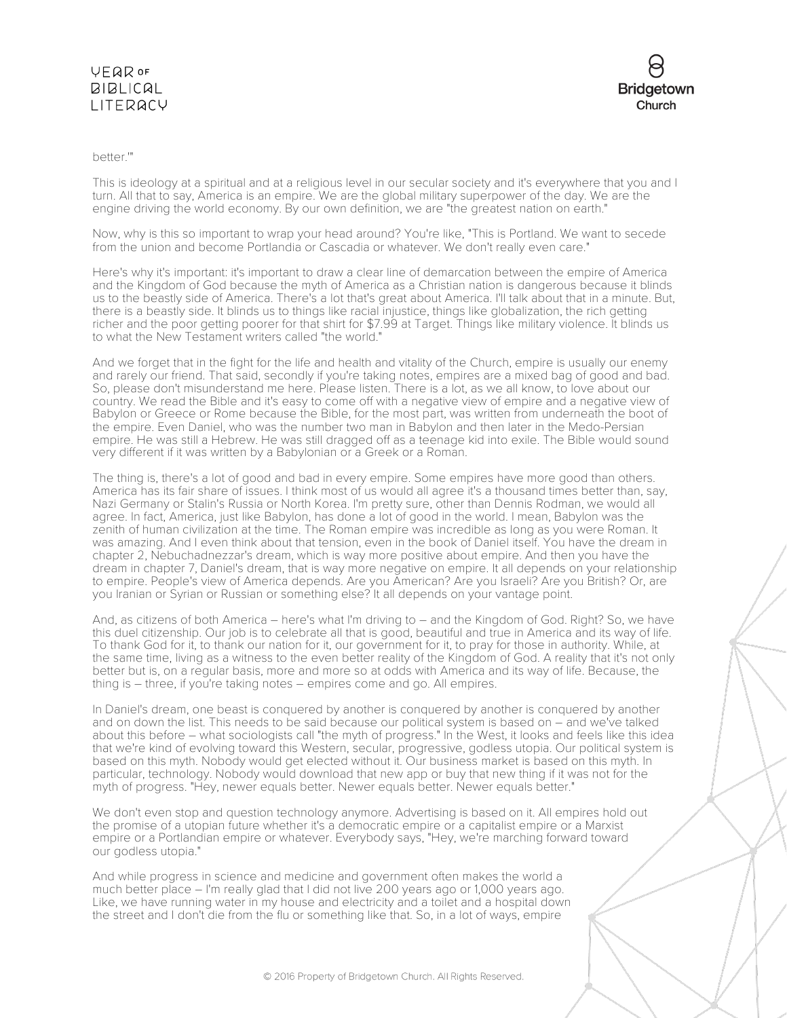### **VEQR OF BIBLICAL** LITERACY



### better.'"

This is ideology at a spiritual and at a religious level in our secular society and it's everywhere that you and I turn. All that to say, America is an empire. We are the global military superpower of the day. We are the engine driving the world economy. By our own definition, we are "the greatest nation on earth."

Now, why is this so important to wrap your head around? You're like, "This is Portland. We want to secede from the union and become Portlandia or Cascadia or whatever. We don't really even care."

Here's why it's important: it's important to draw a clear line of demarcation between the empire of America and the Kingdom of God because the myth of America as a Christian nation is dangerous because it blinds us to the beastly side of America. There's a lot that's great about America. I'll talk about that in a minute. But, there is a beastly side. It blinds us to things like racial injustice, things like globalization, the rich getting richer and the poor getting poorer for that shirt for \$7.99 at Target. Things like military violence. It blinds us to what the New Testament writers called "the world."

And we forget that in the fight for the life and health and vitality of the Church, empire is usually our enemy and rarely our friend. That said, secondly if you're taking notes, empires are a mixed bag of good and bad. So, please don't misunderstand me here. Please listen. There is a lot, as we all know, to love about our country. We read the Bible and it's easy to come off with a negative view of empire and a negative view of Babylon or Greece or Rome because the Bible, for the most part, was written from underneath the boot of the empire. Even Daniel, who was the number two man in Babylon and then later in the Medo-Persian empire. He was still a Hebrew. He was still dragged off as a teenage kid into exile. The Bible would sound very different if it was written by a Babylonian or a Greek or a Roman.

The thing is, there's a lot of good and bad in every empire. Some empires have more good than others. America has its fair share of issues. I think most of us would all agree it's a thousand times better than, say, Nazi Germany or Stalin's Russia or North Korea. I'm pretty sure, other than Dennis Rodman, we would all agree. In fact, America, just like Babylon, has done a lot of good in the world. I mean, Babylon was the zenith of human civilization at the time. The Roman empire was incredible as long as you were Roman. It was amazing. And I even think about that tension, even in the book of Daniel itself. You have the dream in chapter 2, Nebuchadnezzar's dream, which is way more positive about empire. And then you have the dream in chapter 7, Daniel's dream, that is way more negative on empire. It all depends on your relationship to empire. People's view of America depends. Are you American? Are you Israeli? Are you British? Or, are you Iranian or Syrian or Russian or something else? It all depends on your vantage point.

And, as citizens of both America – here's what I'm driving to – and the Kingdom of God. Right? So, we have this duel citizenship. Our job is to celebrate all that is good, beautiful and true in America and its way of life. To thank God for it, to thank our nation for it, our government for it, to pray for those in authority. While, at the same time, living as a witness to the even better reality of the Kingdom of God. A reality that it's not only better but is, on a regular basis, more and more so at odds with America and its way of life. Because, the thing is – three, if you're taking notes – empires come and go. All empires.

In Daniel's dream, one beast is conquered by another is conquered by another is conquered by another and on down the list. This needs to be said because our political system is based on – and we've talked about this before – what sociologists call "the myth of progress." In the West, it looks and feels like this idea that we're kind of evolving toward this Western, secular, progressive, godless utopia. Our political system is based on this myth. Nobody would get elected without it. Our business market is based on this myth. In particular, technology. Nobody would download that new app or buy that new thing if it was not for the myth of progress. "Hey, newer equals better. Newer equals better. Newer equals better."

We don't even stop and question technology anymore. Advertising is based on it. All empires hold out the promise of a utopian future whether it's a democratic empire or a capitalist empire or a Marxist empire or a Portlandian empire or whatever. Everybody says, "Hey, we're marching forward toward our godless utopia."

And while progress in science and medicine and government often makes the world a much better place – I'm really glad that I did not live 200 years ago or 1,000 years ago. Like, we have running water in my house and electricity and a toilet and a hospital down the street and I don't die from the flu or something like that. So, in a lot of ways, empire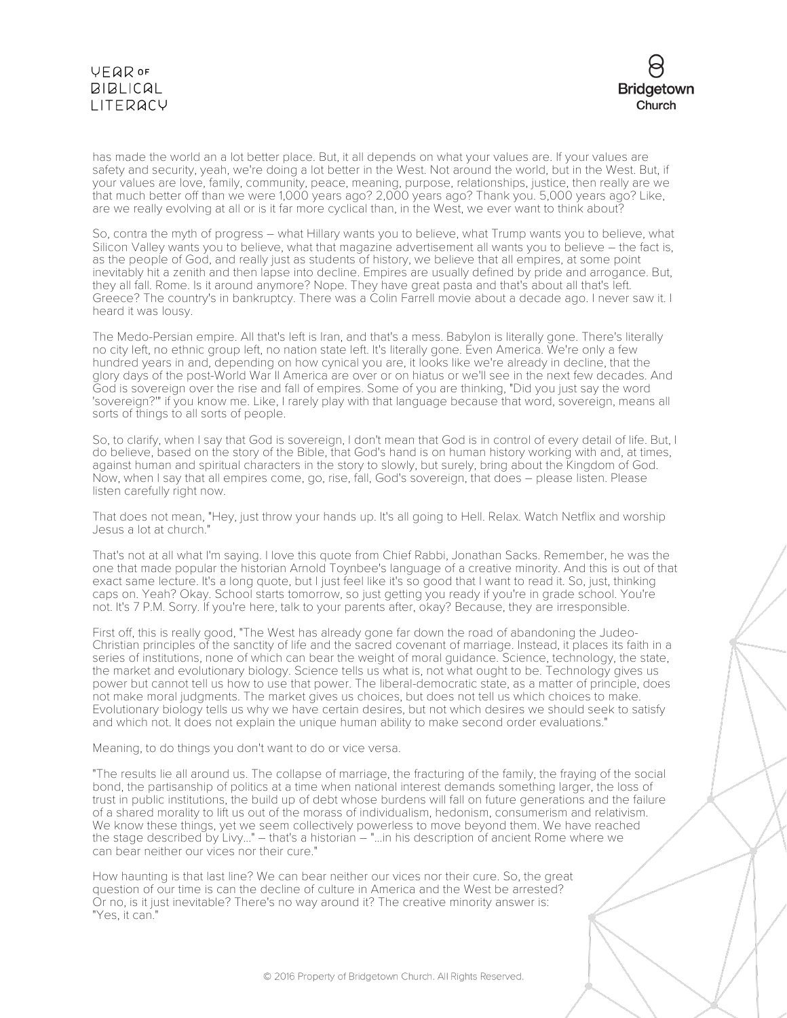## VEQROF **BIBLICAL** LITERACY



has made the world an a lot better place. But, it all depends on what your values are. If your values are safety and security, yeah, we're doing a lot better in the West. Not around the world, but in the West. But, if your values are love, family, community, peace, meaning, purpose, relationships, justice, then really are we that much better off than we were 1,000 years ago? 2,000 years ago? Thank you. 5,000 years ago? Like, are we really evolving at all or is it far more cyclical than, in the West, we ever want to think about?

So, contra the myth of progress – what Hillary wants you to believe, what Trump wants you to believe, what Silicon Valley wants you to believe, what that magazine advertisement all wants you to believe – the fact is, as the people of God, and really just as students of history, we believe that all empires, at some point inevitably hit a zenith and then lapse into decline. Empires are usually defined by pride and arrogance. But, they all fall. Rome. Is it around anymore? Nope. They have great pasta and that's about all that's left. Greece? The country's in bankruptcy. There was a Colin Farrell movie about a decade ago. I never saw it. I heard it was lousy.

The Medo-Persian empire. All that's left is Iran, and that's a mess. Babylon is literally gone. There's literally no city left, no ethnic group left, no nation state left. It's literally gone. Even America. We're only a few hundred years in and, depending on how cynical you are, it looks like we're already in decline, that the glory days of the post-World War II America are over or on hiatus or we'll see in the next few decades. And God is sovereign over the rise and fall of empires. Some of you are thinking, "Did you just say the word 'sovereign?'" if you know me. Like, I rarely play with that language because that word, sovereign, means all sorts of things to all sorts of people.

So, to clarify, when I say that God is sovereign, I don't mean that God is in control of every detail of life. But, I do believe, based on the story of the Bible, that God's hand is on human history working with and, at times, against human and spiritual characters in the story to slowly, but surely, bring about the Kingdom of God. Now, when I say that all empires come, go, rise, fall, God's sovereign, that does – please listen. Please listen carefully right now.

That does not mean, "Hey, just throw your hands up. It's all going to Hell. Relax. Watch Netflix and worship Jesus a lot at church."

That's not at all what I'm saying. I love this quote from Chief Rabbi, Jonathan Sacks. Remember, he was the one that made popular the historian Arnold Toynbee's language of a creative minority. And this is out of that exact same lecture. It's a long quote, but I just feel like it's so good that I want to read it. So, just, thinking caps on. Yeah? Okay. School starts tomorrow, so just getting you ready if you're in grade school. You're not. It's 7 P.M. Sorry. If you're here, talk to your parents after, okay? Because, they are irresponsible.

First off, this is really good, "The West has already gone far down the road of abandoning the Judeo-Christian principles of the sanctity of life and the sacred covenant of marriage. Instead, it places its faith in a series of institutions, none of which can bear the weight of moral guidance. Science, technology, the state, the market and evolutionary biology. Science tells us what is, not what ought to be. Technology gives us power but cannot tell us how to use that power. The liberal-democratic state, as a matter of principle, does not make moral judgments. The market gives us choices, but does not tell us which choices to make. Evolutionary biology tells us why we have certain desires, but not which desires we should seek to satisfy and which not. It does not explain the unique human ability to make second order evaluations."

Meaning, to do things you don't want to do or vice versa.

"The results lie all around us. The collapse of marriage, the fracturing of the family, the fraying of the social bond, the partisanship of politics at a time when national interest demands something larger, the loss of trust in public institutions, the build up of debt whose burdens will fall on future generations and the failure of a shared morality to lift us out of the morass of individualism, hedonism, consumerism and relativism. We know these things, yet we seem collectively powerless to move beyond them. We have reached the stage described by Livy..." – that's a historian – "...in his description of ancient Rome where we can bear neither our vices nor their cure."

How haunting is that last line? We can bear neither our vices nor their cure. So, the great question of our time is can the decline of culture in America and the West be arrested? Or no, is it just inevitable? There's no way around it? The creative minority answer is: "Yes, it can."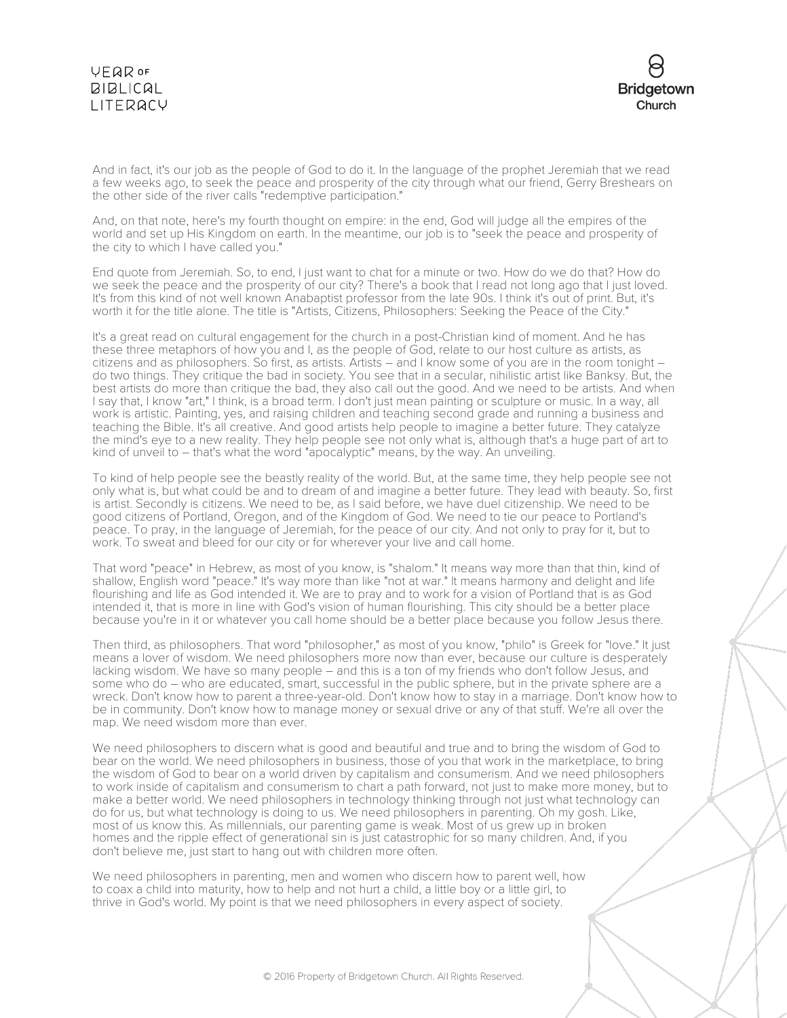### **VEQR OF**  $BIBLICAL$ LITERACY



And in fact, it's our job as the people of God to do it. In the language of the prophet Jeremiah that we read a few weeks ago, to seek the peace and prosperity of the city through what our friend, Gerry Breshears on the other side of the river calls "redemptive participation."

And, on that note, here's my fourth thought on empire: in the end, God will judge all the empires of the world and set up His Kingdom on earth. In the meantime, our job is to "seek the peace and prosperity of the city to which I have called you."

End quote from Jeremiah. So, to end, I just want to chat for a minute or two. How do we do that? How do we seek the peace and the prosperity of our city? There's a book that I read not long ago that I just loved. It's from this kind of not well known Anabaptist professor from the late 90s. I think it's out of print. But, it's worth it for the title alone. The title is "Artists, Citizens, Philosophers: Seeking the Peace of the City."

It's a great read on cultural engagement for the church in a post-Christian kind of moment. And he has these three metaphors of how you and I, as the people of God, relate to our host culture as artists, as citizens and as philosophers. So first, as artists. Artists – and I know some of you are in the room tonight – do two things. They critique the bad in society. You see that in a secular, nihilistic artist like Banksy. But, the best artists do more than critique the bad, they also call out the good. And we need to be artists. And when I say that, I know "art," I think, is a broad term. I don't just mean painting or sculpture or music. In a way, all work is artistic. Painting, yes, and raising children and teaching second grade and running a business and teaching the Bible. It's all creative. And good artists help people to imagine a better future. They catalyze the mind's eye to a new reality. They help people see not only what is, although that's a huge part of art to kind of unveil to – that's what the word "apocalyptic" means, by the way. An unveiling.

To kind of help people see the beastly reality of the world. But, at the same time, they help people see not only what is, but what could be and to dream of and imagine a better future. They lead with beauty. So, first is artist. Secondly is citizens. We need to be, as I said before, we have duel citizenship. We need to be good citizens of Portland, Oregon, and of the Kingdom of God. We need to tie our peace to Portland's peace. To pray, in the language of Jeremiah, for the peace of our city. And not only to pray for it, but to work. To sweat and bleed for our city or for wherever your live and call home.

That word "peace" in Hebrew, as most of you know, is "shalom." It means way more than that thin, kind of shallow, English word "peace." It's way more than like "not at war." It means harmony and delight and life flourishing and life as God intended it. We are to pray and to work for a vision of Portland that is as God intended it, that is more in line with God's vision of human flourishing. This city should be a better place because you're in it or whatever you call home should be a better place because you follow Jesus there.

Then third, as philosophers. That word "philosopher," as most of you know, "philo" is Greek for "love." It just means a lover of wisdom. We need philosophers more now than ever, because our culture is desperately lacking wisdom. We have so many people – and this is a ton of my friends who don't follow Jesus, and some who do – who are educated, smart, successful in the public sphere, but in the private sphere are a wreck. Don't know how to parent a three-year-old. Don't know how to stay in a marriage. Don't know how to be in community. Don't know how to manage money or sexual drive or any of that stuff. We're all over the map. We need wisdom more than ever.

We need philosophers to discern what is good and beautiful and true and to bring the wisdom of God to bear on the world. We need philosophers in business, those of you that work in the marketplace, to bring the wisdom of God to bear on a world driven by capitalism and consumerism. And we need philosophers to work inside of capitalism and consumerism to chart a path forward, not just to make more money, but to make a better world. We need philosophers in technology thinking through not just what technology can do for us, but what technology is doing to us. We need philosophers in parenting. Oh my gosh. Like, most of us know this. As millennials, our parenting game is weak. Most of us grew up in broken homes and the ripple effect of generational sin is just catastrophic for so many children. And, if you don't believe me, just start to hang out with children more often.

We need philosophers in parenting, men and women who discern how to parent well, how to coax a child into maturity, how to help and not hurt a child, a little boy or a little girl, to thrive in God's world. My point is that we need philosophers in every aspect of society.